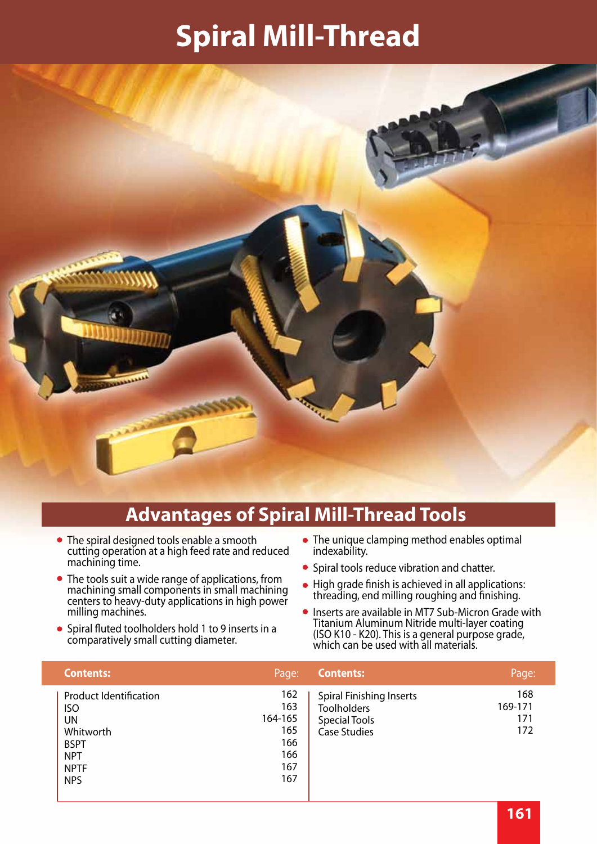## **Spiral Mill-Thread**



#### **Advantages of Spiral Mill-Thread Tools**

- The spiral designed tools enable a smooth cutting operation at a high feed rate and reduced machining time.
- The tools suit a wide range of applications, from machining small components in small machining centers to heavy-duty applications in high power milling machines.
- Spiral fluted toolholders hold 1 to 9 inserts in a comparatively small cutting diameter.
- The unique clamping method enables optimal indexability.
- Spiral tools reduce vibration and chatter.
- High grade finish is achieved in all applications: threading, end milling roughing and finishing.
- Inserts are available in MT7 Sub-Micron Grade with Titanium Aluminum Nitride multi-layer coating (ISO K10 - K20). This is a general purpose grade, which can be used with all materials.

| <b>Contents:</b>                                                                                                                | Page:                                                    | <b>Contents:</b>                                                                                     | Page:                        |
|---------------------------------------------------------------------------------------------------------------------------------|----------------------------------------------------------|------------------------------------------------------------------------------------------------------|------------------------------|
| <b>Product Identification</b><br><b>ISO</b><br><b>UN</b><br>Whitworth<br><b>BSPT</b><br><b>NPT</b><br><b>NPTF</b><br><b>NPS</b> | 162<br>163<br>164-165<br>165<br>166<br>166<br>167<br>167 | <b>Spiral Finishing Inserts</b><br><b>Toolholders</b><br><b>Special Tools</b><br><b>Case Studies</b> | 168<br>169-171<br>171<br>172 |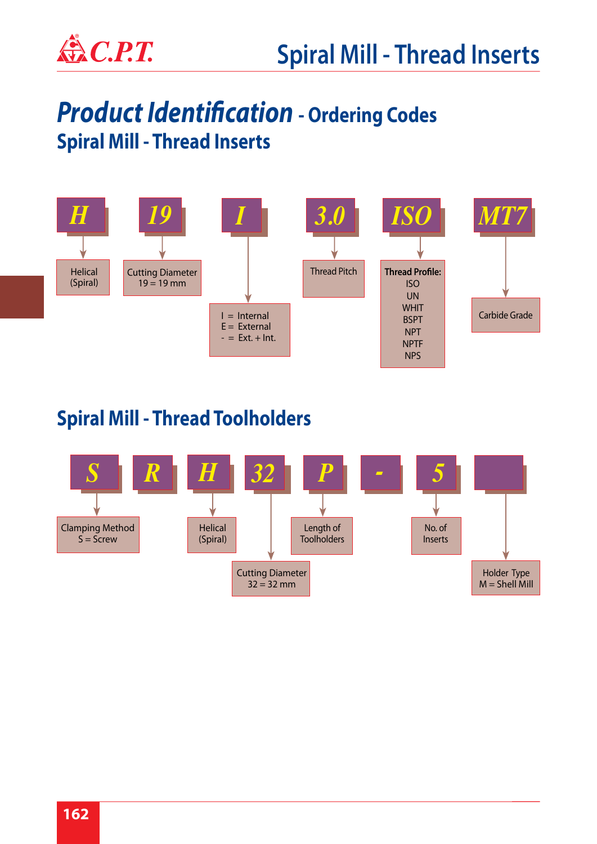

### *Product Identification* **- Ordering Codes Spiral Mill - Thread Inserts**



#### **Spiral Mill - Thread Toolholders**

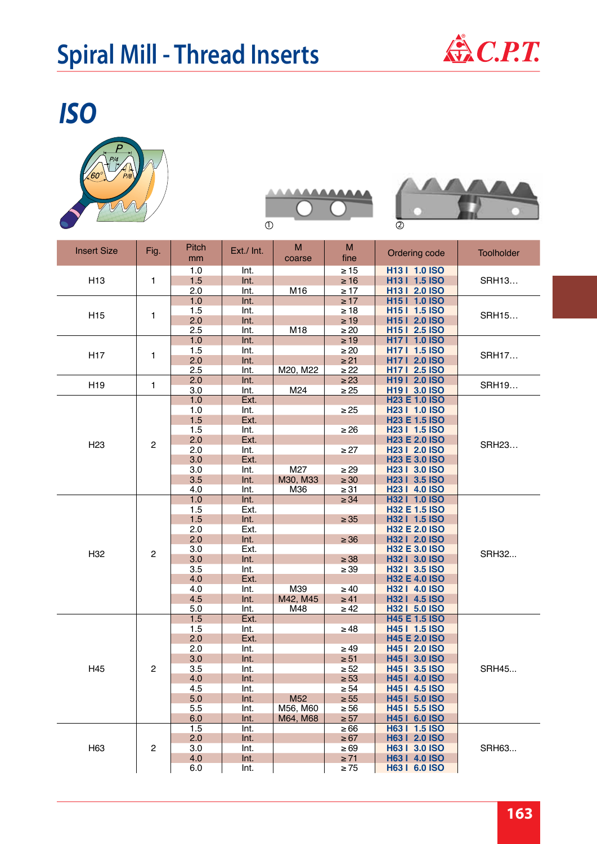

*ISO*







| <b>Insert Size</b> | Fig.                    | <b>Pitch</b><br>mm | Ext./ Int. | M<br>coarse | M<br>fine | Ordering code             | <b>Toolholder</b> |  |
|--------------------|-------------------------|--------------------|------------|-------------|-----------|---------------------------|-------------------|--|
|                    |                         | 1.0                | Int.       |             | $\geq 15$ | H13   1.0 ISO             |                   |  |
| H <sub>13</sub>    | 1                       | 1.5                | Int.       |             | $\geq 16$ | H13   1.5 ISO             | <b>SRH13</b>      |  |
|                    |                         | 2.0                | Int.       | M16         | $\geq 17$ | H13   2.0 ISO             |                   |  |
|                    |                         | 1.0                | Int.       |             | $\geq 17$ | H15   1.0 ISO             |                   |  |
|                    |                         | 1.5                | Int.       |             | $\geq 18$ | H15   1.5 ISO             |                   |  |
| H <sub>15</sub>    | 1                       | 2.0                | Int.       |             | $\geq 19$ | H15   2.0 ISO             | <b>SRH15</b>      |  |
|                    |                         | 2.5                | Int.       | M18         | $\geq 20$ | H15   2.5 ISO             |                   |  |
|                    |                         | 1.0                | Int.       |             | $\geq 19$ | H17   1.0 ISO             |                   |  |
|                    |                         | 1.5                | Int.       |             | $\geq 20$ | H17   1.5 ISO             |                   |  |
| H <sub>17</sub>    | 1                       | 2.0                | Int.       |             | $\geq$ 21 | H17   2.0 ISO             | <b>SRH17</b>      |  |
|                    |                         | 2.5                | Int.       | M20, M22    | $\geq$ 22 | H17   2.5 ISO             |                   |  |
|                    |                         | 2.0                | Int.       |             | $\geq$ 23 | H19   2.0 ISO             |                   |  |
| H <sub>19</sub>    | 1                       | 3.0                | Int.       | M24         | $\geq$ 25 | H <sub>19</sub>   3.0 ISO | <b>SRH19</b>      |  |
|                    |                         | 1.0                | Ext.       |             |           | <b>H23 E 1.0 ISO</b>      |                   |  |
|                    |                         | 1.0                | Int.       |             | $\geq$ 25 | H23   1.0 ISO             |                   |  |
|                    |                         | 1.5                | Ext.       |             |           | H23 E 1.5 ISO             |                   |  |
|                    |                         | 1.5                | Int.       |             | $\geq 26$ | H23   1.5 ISO             |                   |  |
| H <sub>23</sub>    | 2                       | 2.0                | Ext.       |             |           | <b>H23 E 2.0 ISO</b>      | <b>SRH23</b>      |  |
|                    |                         | 2.0                | Int.       |             | $\geq$ 27 | H23   2.0 ISO             |                   |  |
|                    |                         | 3.0                | Ext.       |             |           | <b>H23 E 3.0 ISO</b>      |                   |  |
|                    |                         | 3.0                | Int.       | M27         | $\geq$ 29 | H23   3.0 ISO             |                   |  |
|                    |                         | 3.5                | Int.       | M30, M33    | $\geq 30$ | H23   3.5 ISO             |                   |  |
|                    |                         | 4.0                | Int.       | M36         | $\geq 31$ | H23   4.0 ISO             |                   |  |
|                    |                         | 1.0                | Int.       |             | $\geq$ 34 | H32   1.0 ISO             |                   |  |
|                    |                         | 1.5                | Ext.       |             |           | <b>H32 E 1.5 ISO</b>      |                   |  |
|                    |                         | 1.5                | Int.       |             | $\geq 35$ | H32   1.5 ISO             |                   |  |
|                    |                         | 2.0                | Ext.       |             |           | <b>H32 E 2.0 ISO</b>      |                   |  |
|                    |                         | 2.0                | Int.       |             | $\geq 36$ | H32   2.0 ISO             |                   |  |
| H32                | $\overline{c}$          | 3.0                | Ext.       |             |           | <b>H32 E 3.0 ISO</b>      | <b>SRH32</b>      |  |
|                    |                         | 3.0                | Int.       |             | $\geq$ 38 | H32   3.0 ISO             |                   |  |
|                    |                         | 3.5                | Int.       |             | $\geq 39$ | H32   3.5 ISO             |                   |  |
|                    |                         | 4.0                | Ext.       |             |           | <b>H32 E 4.0 ISO</b>      |                   |  |
|                    |                         | 4.0                | Int.       | M39         | $\geq 40$ | H32   4.0 ISO             |                   |  |
|                    |                         | 4.5                | Int.       | M42, M45    | $\geq 41$ | H32   4.5 ISO             |                   |  |
|                    |                         | 5.0                | Int.       | M48         | $\geq 42$ | H32   5.0 ISO             |                   |  |
|                    |                         | 1.5                | Ext.       |             |           | H45 E 1.5 ISO             |                   |  |
|                    |                         | 1.5                | Int.       |             | $\geq 48$ | H45   1.5 ISO             |                   |  |
|                    |                         | 2.0                | Ext.       |             |           | <b>H45 E 2.0 ISO</b>      |                   |  |
|                    |                         | 2.0                | Int.       |             | $\geq 49$ | H45   2.0 ISO             |                   |  |
|                    |                         | 3.0                | Int.       |             | $\geq 51$ | H45   3.0 ISO             |                   |  |
| H45                | $\overline{c}$          | 3.5                | Int.       |             | $\geq 52$ | H45   3.5 ISO             | <b>SRH45</b>      |  |
|                    |                         | 4.0                | Int.       |             | $\geq 53$ | H45   4.0 ISO             |                   |  |
|                    |                         | 4.5                | Int.       |             | $\geq 54$ | H45   4.5 ISO             |                   |  |
|                    |                         | 5.0                | Int.       | M52         | $\geq 55$ | H45   5.0 ISO             |                   |  |
|                    |                         | 5.5                | Int.       | M56, M60    | $\geq 56$ | H45   5.5 ISO             |                   |  |
|                    |                         | 6.0                | Int.       | M64, M68    | $\geq 57$ | H45   6.0 ISO             |                   |  |
|                    |                         | $1.5$              | Int.       |             | $\geq 66$ | H63   1.5 ISO             |                   |  |
|                    |                         | 2.0                | Int.       |             | $\geq 67$ | H63   2.0 ISO             |                   |  |
| H63                | $\overline{\mathbf{c}}$ | 3.0                | Int.       |             | $\geq 69$ | H63   3.0 ISO             | SRH63             |  |
|                    |                         | 4.0                | Int.       |             | $\geq 71$ | H63   4.0 ISO             |                   |  |
|                    |                         | 6.0                | Int.       |             | $\geq 75$ | H63   6.0 ISO             |                   |  |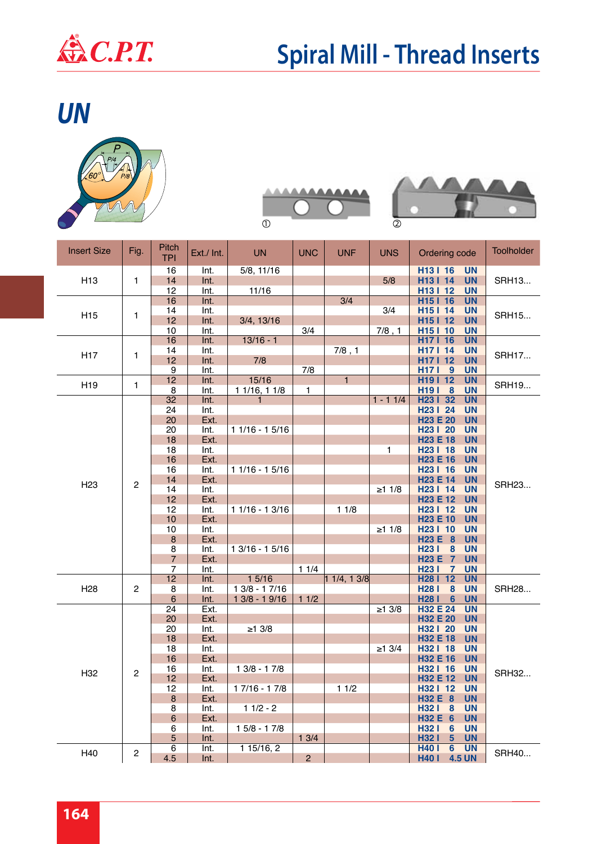

*UN*







| <b>Insert Size</b>   | Fig.           | <b>Pitch</b><br><b>TPI</b> | Ext./ Int.   | <b>UN</b>                     | <b>UNC</b>     | <b>UNF</b>       | <b>UNS</b>   | Ordering code                                                               | <b>Toolholder</b> |
|----------------------|----------------|----------------------------|--------------|-------------------------------|----------------|------------------|--------------|-----------------------------------------------------------------------------|-------------------|
|                      |                | 16                         | Int.         | 5/8, 11/16                    |                |                  |              | H13 I 16<br><b>UN</b>                                                       |                   |
| H <sub>13</sub>      | $\mathbf{1}$   | 14                         | Int.         |                               |                |                  | 5/8          | H13 I 14<br><b>UN</b>                                                       | <b>SRH13</b>      |
|                      |                | 12                         | Int.         | 11/16                         |                |                  |              | H13 I 12<br><b>UN</b>                                                       |                   |
|                      |                | 16                         | Int.         |                               |                | $\overline{3/4}$ |              | H15 I 16<br><b>UN</b>                                                       |                   |
| H <sub>15</sub>      | 1              | 14                         | Int.         |                               |                |                  | 3/4          | H15   14<br><b>UN</b>                                                       | <b>SRH15</b>      |
|                      |                | 12                         | Int.         | 3/4, 13/16                    |                |                  |              | H15   12<br><b>UN</b>                                                       |                   |
|                      |                | 10                         | Int.         |                               | 3/4            |                  | $7/8$ , 1    | H15   10<br><b>UN</b>                                                       |                   |
|                      |                | 16                         | Int.         | $13/16 - 1$                   |                |                  |              | H17   16<br><b>UN</b>                                                       |                   |
| H <sub>17</sub>      | 1              | 14                         | Int.         |                               |                | $7/8$ , 1        |              | H17   14<br><b>UN</b>                                                       | <b>SRH17</b>      |
|                      |                | 12                         | Int.         | 7/8                           |                |                  |              | H17 I 12<br><b>UN</b>                                                       |                   |
|                      |                | 9                          | Int.         | 15/16                         | 7/8            | $\mathbf{1}$     |              | <b>H17 I</b><br>$\overline{\mathbf{9}}$<br><b>UN</b>                        |                   |
| H <sub>19</sub>      | 1              | 12<br>8                    | Int.<br>Int. |                               | 1              |                  |              | H19 I 12<br><b>UN</b><br>H <sub>19</sub>  <br>$\boldsymbol{8}$<br><b>UN</b> | <b>SRH19</b>      |
|                      |                | 32                         | Int.         | 1 1/16, 1 1/8<br>$\mathbf{1}$ |                |                  | $1 - 11/4$   | H23 I 32<br><b>UN</b>                                                       |                   |
|                      |                | 24                         | Int.         |                               |                |                  |              | H23 I 24<br><b>UN</b>                                                       |                   |
|                      |                | 20                         | Ext.         |                               |                |                  |              | H23 E 20<br><b>UN</b>                                                       |                   |
|                      |                | 20                         | Int.         | $11/16 - 15/16$               |                |                  |              | H23 I 20<br><b>UN</b>                                                       |                   |
|                      |                | 18                         | Ext.         |                               |                |                  |              | H23 E 18<br><b>UN</b>                                                       |                   |
|                      |                | 18                         | Int.         |                               |                |                  | 1            | H23 I 18<br><b>UN</b>                                                       |                   |
|                      |                | 16                         | Ext.         |                               |                |                  |              | H23 E 16<br><b>UN</b>                                                       |                   |
|                      |                | 16                         | Int.         | $11/16 - 15/16$               |                |                  |              | H23 I 16<br><b>UN</b>                                                       |                   |
| H <sub>23</sub><br>2 |                | 14                         | Ext.         |                               |                |                  |              | H23 E 14<br><b>UN</b>                                                       |                   |
|                      |                | 14                         | Int.         |                               |                |                  | ≥11/8        | H23 I 14<br><b>UN</b>                                                       | <b>SRH23</b>      |
|                      |                | 12                         | Ext.         |                               |                |                  |              | H23 E 12<br><b>UN</b>                                                       |                   |
|                      |                | 12                         | Int.         | $11/16 - 13/16$               |                | 11/8             |              | H23 I 12<br><b>UN</b>                                                       |                   |
|                      |                | 10                         | Ext.         |                               |                |                  |              | H23 E 10<br><b>UN</b>                                                       |                   |
|                      |                | 10                         | Int.         |                               |                |                  | ≥11/8        | H23 I 10<br><b>UN</b>                                                       |                   |
|                      |                | $\bf8$                     | Ext.         |                               |                |                  |              | H23 E 8<br><b>UN</b>                                                        |                   |
|                      |                | 8                          | Int.         | 1 3/16 - 1 5/16               |                |                  |              | H23 I<br><b>UN</b><br>$\boldsymbol{8}$                                      |                   |
|                      |                | $\overline{7}$             | Ext.         |                               |                |                  |              | <b>UN</b><br>H23 E 7                                                        |                   |
|                      |                | 7                          | Int.         |                               | 11/4           |                  |              | <b>H231</b><br>$\overline{7}$<br><b>UN</b>                                  |                   |
|                      |                | 12                         | Int.         | 15/16                         |                | 11/4, 13/8       |              | <b>H281</b><br>12<br><b>UN</b>                                              |                   |
| H <sub>28</sub>      | $\mathbf{2}$   | 8                          | Int.         | $13/8 - 17/16$                |                |                  |              | <b>H281</b><br>$\pmb{8}$<br><b>UN</b>                                       | <b>SRH28</b>      |
|                      |                | $6\phantom{1}6$            | Int.         | $13/8 - 19/16$                | 11/2           |                  |              | <b>H281</b><br>$6\phantom{a}$<br><b>UN</b>                                  |                   |
|                      |                | 24                         | Ext.         |                               |                |                  | ≥13/8        | H32 E 24<br><b>UN</b>                                                       |                   |
|                      |                | 20                         | Ext.         |                               |                |                  |              | H32 E 20<br><b>UN</b>                                                       |                   |
|                      |                | 20                         | Int.         | $≥1$ 3/8                      |                |                  |              | H32 I 20<br><b>UN</b>                                                       |                   |
|                      |                | 18                         | Ext.         |                               |                |                  |              | H32 E 18<br><b>UN</b>                                                       |                   |
|                      |                | 18                         | Int.         |                               |                |                  | $\geq 1.3/4$ | H32 I 18<br><b>UN</b>                                                       |                   |
|                      |                | 16                         | Ext.         |                               |                |                  |              | H32 E 16<br><b>UN</b>                                                       |                   |
| H32                  | $\overline{2}$ | 16                         | Int.         | $13/8 - 17/8$                 |                |                  |              | H32 I 16<br><b>UN</b>                                                       | <b>SRH32</b>      |
|                      |                | 12                         | Ext.         |                               |                |                  |              | H32 E 12<br><b>UN</b>                                                       |                   |
|                      |                | 12                         | Int.         | $17/16 - 17/8$                |                | 11/2             |              | H32   12<br><b>UN</b>                                                       |                   |
|                      |                | $\bf8$                     | Ext.         |                               |                |                  |              | H32 E 8<br><b>UN</b>                                                        |                   |
|                      |                | 8                          | Int.         | $11/2 - 2$                    |                |                  |              | <b>H321</b><br>8<br><b>UN</b>                                               |                   |
|                      |                | 6                          | Ext.         |                               |                |                  |              | H32 E 6<br><b>UN</b>                                                        |                   |
|                      |                | 6                          | Int.         | $15/8 - 17/8$                 |                |                  |              | <b>H321</b><br>$6\phantom{1}6$<br><b>UN</b>                                 |                   |
|                      |                | 5                          | Int.         |                               | 13/4           |                  |              | <b>H321</b><br>$5\phantom{1}$<br><b>UN</b>                                  |                   |
| H40                  | $\overline{c}$ | 6                          | Int.         | 1 15/16, 2                    |                |                  |              | <b>H401</b><br>6 <sup>1</sup><br><b>UN</b>                                  | <b>SRH40</b>      |
|                      |                | 4.5                        | Int.         |                               | $\overline{2}$ |                  |              | <b>H401</b><br><b>4.5 UN</b>                                                |                   |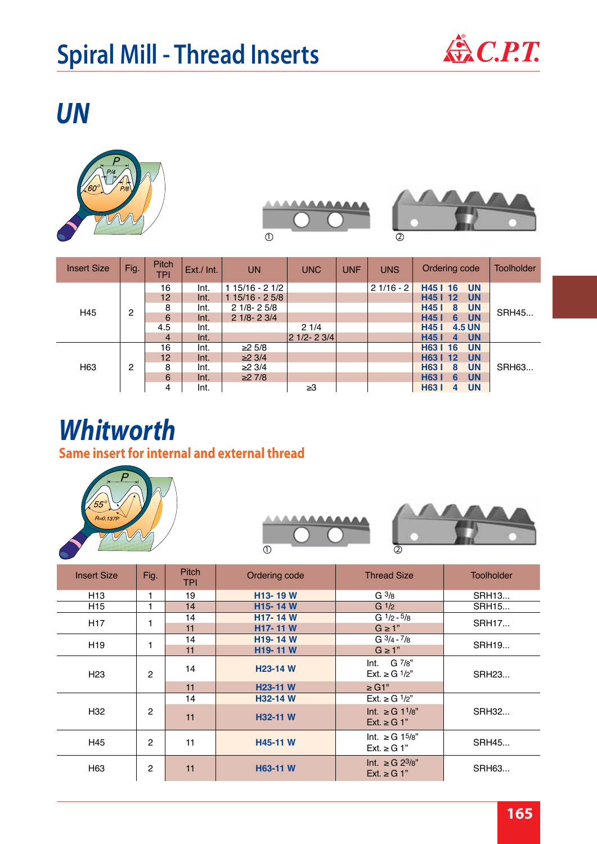

### *UN*





| <b>Insert Size</b> | Fig. | Pitch<br>TPI   | Ext./ Int. | <b>UN</b>       | <b>UNC</b>    | <b>UNF</b> | <b>UNS</b>  | Ordering code                 | <b>Toolholder</b> |
|--------------------|------|----------------|------------|-----------------|---------------|------------|-------------|-------------------------------|-------------------|
|                    |      | 16             | Int.       | $115/16 - 21/2$ |               |            | $21/16 - 2$ | <b>UN</b><br>H45   16         | <b>SRH45</b>      |
|                    |      | 12             | Int.       | $115/16 - 25/8$ |               |            |             | H45   12<br><b>UN</b>         |                   |
| H45<br>2           |      | 8              | Int.       | $21/8 - 25/8$   |               |            |             | <b>H451</b><br><b>UN</b><br>8 |                   |
|                    |      | 6              | Int.       | $21/8 - 23/4$   |               |            |             | <b>H451</b><br>UN<br>6        |                   |
|                    |      | 4.5            | Int.       |                 | 21/4          |            |             | <b>H451</b><br><b>4.5 UN</b>  |                   |
|                    |      | $\overline{4}$ | Int.       |                 | $21/2 - 23/4$ |            |             | <b>UN</b><br><b>H451</b><br>4 |                   |
|                    |      | 16             | Int.       | ≥25/8           |               |            |             | H63   16<br><b>UN</b>         |                   |
|                    |      | 12             | Int.       | $\geq$ 2 3/4    |               |            |             | <b>UN</b><br>H63   12         | SRH63             |
| H63                | 2    | 8              | Int.       | >23/4           |               |            |             | <b>H631</b><br><b>UN</b><br>8 |                   |
|                    |      | 6              | Int.       | $\geq$ 7/8      |               |            |             | <b>H631</b><br><b>UN</b><br>6 |                   |
|                    |      | 4              | Int.       |                 | ≥3            |            |             | <b>H631</b><br><b>UN</b><br>4 |                   |

# *Whitworth*

#### **Same insert for internal and external thread**





| <b>Insert Size</b> | Fig.           | <b>Pitch</b><br><b>TPI</b> | Ordering code         | <b>Thread Size</b>                              | <b>Toolholder</b> |
|--------------------|----------------|----------------------------|-----------------------|-------------------------------------------------|-------------------|
| H <sub>13</sub>    | 1              | 19                         | H13-19W               | G <sup>3</sup> /8                               | <b>SRH13</b>      |
| H <sub>15</sub>    |                | 14                         | H15-14W               | G <sup>1/2</sup>                                | <b>SRH15</b>      |
| H <sub>17</sub>    |                | 14                         | H <sub>17</sub> -14 W | $G \frac{1}{2} - \frac{5}{8}$                   | <b>SRH17</b>      |
|                    |                | 11                         | H <sub>17</sub> -11 W | $G \geq 1$ "                                    |                   |
| H <sub>19</sub>    | 1              | 14                         | H <sub>19</sub> -14 W | $G \frac{3}{4} - \frac{7}{8}$                   | <b>SRH19</b>      |
|                    |                | 11                         | H <sub>19</sub> -11 W | $G \geq 1$ "                                    |                   |
| H <sub>23</sub>    | $\overline{2}$ | 14                         | H <sub>23</sub> -14 W | Int. $G \frac{7}{8}$<br>$Ext. \ge G^{1/2"$      | <b>SRH23</b>      |
|                    |                | 11                         | H <sub>23</sub> -11 W | $\geq$ G1"                                      |                   |
|                    |                | 14                         | H32-14 W              | $Ext. \ge G^{1/2"$                              |                   |
| H <sub>32</sub>    | 2              | 11                         | H32-11 W              | Int. ≥ G 11/8"<br>$Ext. \geq G 1$ "             | <b>SRH32</b>      |
| H45                | $\overline{2}$ | 11                         | H45-11 W              | Int. ≥ G 15/8"<br>$Ext. \ge G.1$ "              | <b>SRH45</b>      |
| H63                | $\mathfrak{p}$ | 11                         | <b>H63-11 W</b>       | Int. ≥ G 2 <sup>3</sup> /8"<br>$Ext. \ge G.1$ " |                   |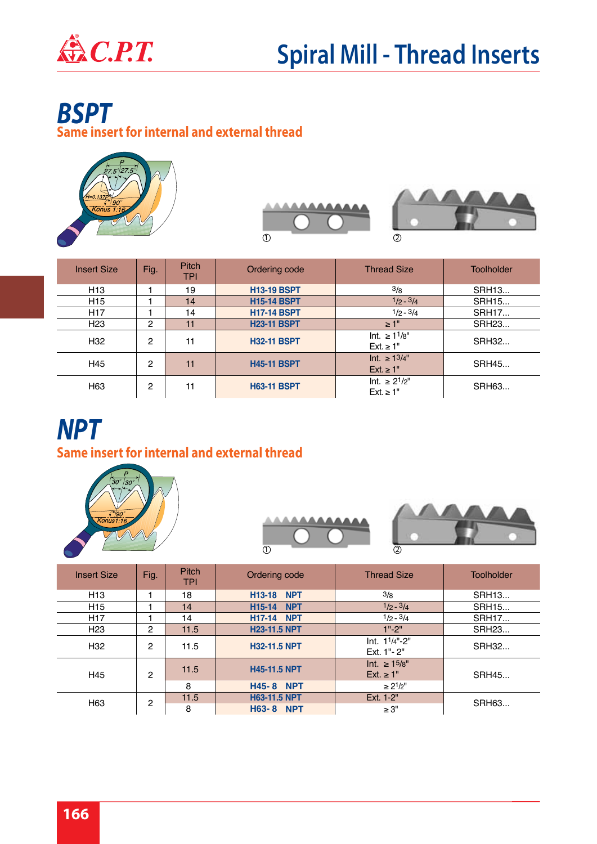

#### *BSPT* **Same insert for internal and external thread**







| <b>Insert Size</b> | Fig. | Pitch<br><b>TPI</b> | Ordering code      | <b>Thread Size</b>                           | Toolholder   |
|--------------------|------|---------------------|--------------------|----------------------------------------------|--------------|
| H <sub>13</sub>    |      | 19                  | <b>H13-19 BSPT</b> | 3/8                                          | <b>SRH13</b> |
| H <sub>15</sub>    |      | 14                  | <b>H15-14 BSPT</b> | $1/2 - 3/4$                                  | <b>SRH15</b> |
| H <sub>17</sub>    |      | 14                  | <b>H17-14 BSPT</b> | $1/2 - 3/4$                                  | <b>SRH17</b> |
| H <sub>23</sub>    | 2    | 11                  | <b>H23-11 BSPT</b> | $\geq 1$ "                                   | <b>SRH23</b> |
| H <sub>32</sub>    | 2    | 11                  | <b>H32-11 BSPT</b> | Int. ≥ 11/8"<br>$Ext. \geq 1$ "              | <b>SRH32</b> |
| H45                | 2    | 11                  | <b>H45-11 BSPT</b> | $Int. \geq 1^{3}/4"$<br>$Ext. \ge 1$ "       | <b>SRH45</b> |
| H63                | 2    | 11                  | <b>H63-11 BSPT</b> | Int. ≥ 2 <sup>1</sup> /2"<br>$Ext. \geq 1$ " | SRH63        |

#### *NPT* **Same insert for internal and external thread**





| <b>Insert Size</b> | Fig.           | <b>Pitch</b><br><b>TPI</b> | Ordering code                     | <b>Thread Size</b>             | <b>Toolholder</b> |  |
|--------------------|----------------|----------------------------|-----------------------------------|--------------------------------|-------------------|--|
| H <sub>13</sub>    |                | 18                         | <b>H13-18 NPT</b>                 | 3/8                            | <b>SRH13</b>      |  |
| H <sub>15</sub>    |                | 14                         | <b>NPT</b><br>H <sub>15</sub> -14 | $1/2 - 3/4$                    | <b>SRH15</b>      |  |
| H <sub>17</sub>    |                | 14                         | <b>H17-14 NPT</b>                 | $1/2 - 3/4$                    | <b>SRH17</b>      |  |
| H <sub>23</sub>    | $\overline{c}$ | 11.5                       | <b>H23-11.5 NPT</b>               | $1" - 2"$                      | <b>SRH23</b>      |  |
| H <sub>32</sub>    | $\overline{c}$ | 11.5                       | <b>H32-11.5 NPT</b>               | Int. 11/4"-2"<br>Ext. 1"- 2"   | <b>SRH32</b>      |  |
| H45                | $\overline{2}$ | 11.5                       | <b>H45-11.5 NPT</b>               | Int. ≥ 15/8"<br>$Ext. \ge 1$ " | <b>SRH45</b>      |  |
|                    |                | 8                          | <b>H45-8 NPT</b>                  | $\geq$ 2 <sup>1</sup> /2"      |                   |  |
|                    |                | 11.5                       | <b>H63-11.5 NPT</b>               | Ext. 1-2"                      | SRH63             |  |
| H <sub>63</sub>    |                | 2                          | 8                                 | <b>H63-8 NPT</b>               | $\geq 3"$         |  |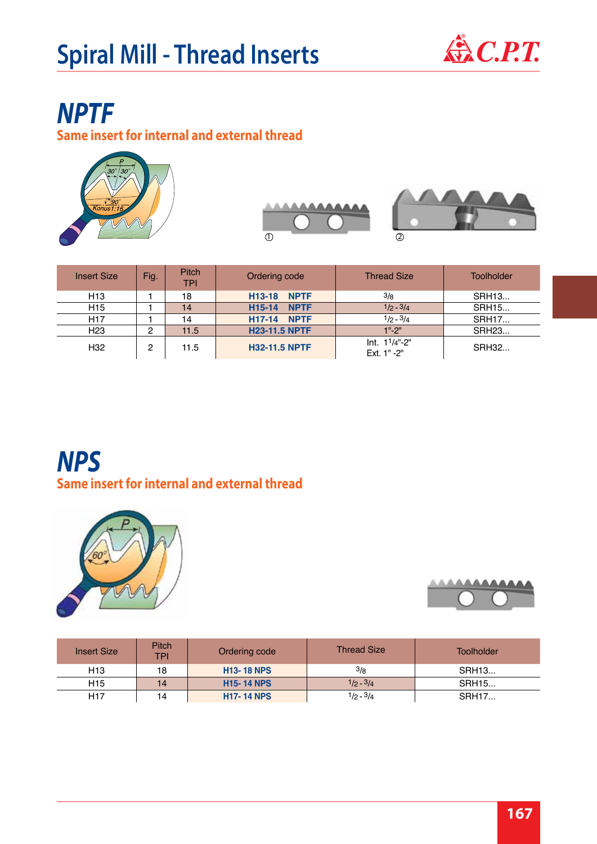

### *NPTF*

**Same insert for internal and external thread**





| <b>Insert Size</b> | Fig. | Pitch<br>TPI | Ordering code                      | <b>Thread Size</b>           | Toolholder   |
|--------------------|------|--------------|------------------------------------|------------------------------|--------------|
| H <sub>13</sub>    |      | 18           | <b>H13-18 NPTF</b>                 | 3/8                          | <b>SRH13</b> |
| H <sub>15</sub>    |      | 14           | <b>NPTF</b><br>H <sub>15</sub> -14 | $1/2 - 3/4$                  | <b>SRH15</b> |
| H <sub>17</sub>    |      | 14           | <b>H17-14 NPTF</b>                 | $1/2 - 3/4$                  | <b>SRH17</b> |
| H <sub>23</sub>    | 2    | 11.5         | <b>H23-11.5 NPTF</b>               | 1".2"                        | <b>SRH23</b> |
| H32                | 2    | 11.5         | <b>H32-11.5 NPTF</b>               | Int. 11/4"-2"<br>Fxt. 1" -2" | <b>SRH32</b> |

#### *NPS* **Same insert for internal and external thread**





| <b>Insert Size</b> | <b>Pitch</b><br>TPI | Ordering code     | <b>Thread Size</b> | Toolholder   |
|--------------------|---------------------|-------------------|--------------------|--------------|
| H <sub>13</sub>    | 18                  | <b>H13-18 NPS</b> | 3/8                | <b>SRH13</b> |
| H <sub>15</sub>    | 14                  | <b>H15-14 NPS</b> | $1/2 - 3/4$        | <b>SRH15</b> |
| H <sub>17</sub>    | 14                  | <b>H17-14 NPS</b> | 1/2 - 3/4          | <b>SRH17</b> |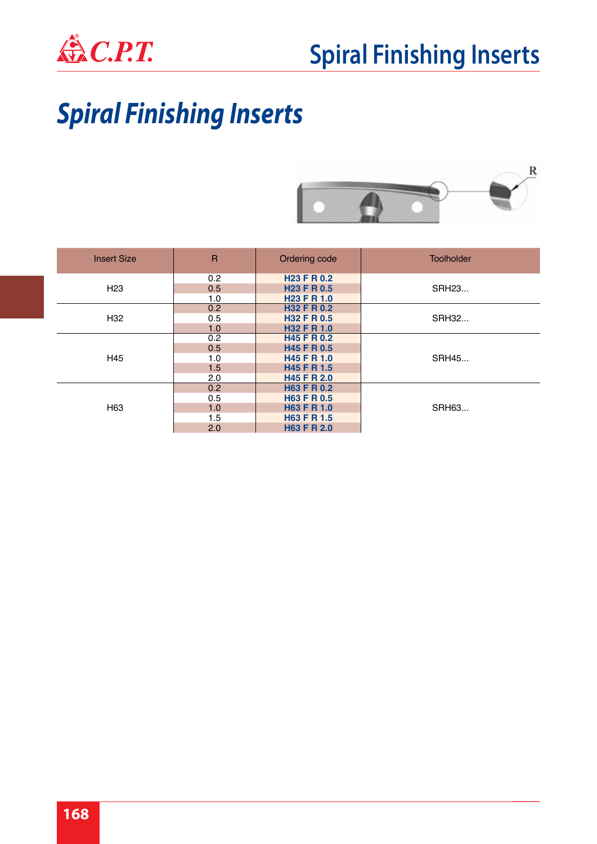

# *Spiral Finishing Inserts*



| <b>Insert Size</b> | $\overline{R}$ | Ordering code      | <b>Toolholder</b> |
|--------------------|----------------|--------------------|-------------------|
|                    | 0.2            | <b>H23 F R 0.2</b> |                   |
| H <sub>23</sub>    | 0.5            | <b>H23 F R 0.5</b> | <b>SRH23</b>      |
|                    | 1.0            | <b>H23 F R 1.0</b> |                   |
|                    | 0.2            | <b>H32 F R 0.2</b> |                   |
| H32                | 0.5            | <b>H32 F R 0.5</b> | <b>SRH32</b>      |
|                    | 1.0            | <b>H32 F R 1.0</b> |                   |
|                    | 0.2            | H45 F R 0.2        |                   |
|                    | 0.5            | <b>H45 F R 0.5</b> |                   |
| H45                | 1.0            | <b>H45 F R 1.0</b> | <b>SRH45</b>      |
|                    | 1.5            | <b>H45 F R 1.5</b> |                   |
|                    | 2.0            | <b>H45 F R 2.0</b> |                   |
|                    | 0.2            | <b>H63 F R 0.2</b> |                   |
|                    | 0.5            | <b>H63 F R 0.5</b> |                   |
| H63                | 1.0            | <b>H63 F R 1.0</b> | SRH63             |
|                    | 1.5            | <b>H63 F R 1.5</b> |                   |
|                    | 2.0            | <b>H63 F R 2.0</b> |                   |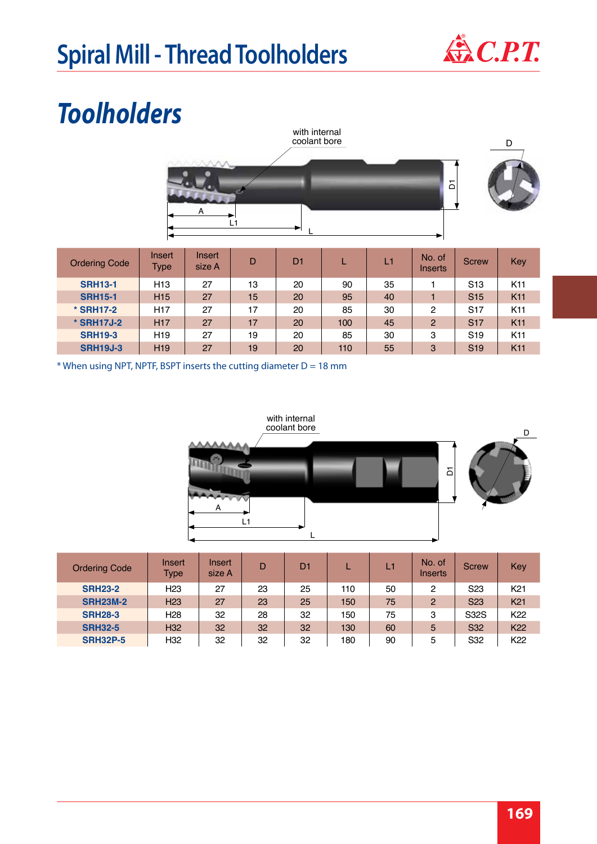

# *Toolholders*



| <b>Ordering Code</b> | Insert<br><b>Type</b> | Insert<br>size A | D  | D <sub>1</sub> |     | L1 | No. of<br>Inserts | <b>Screw</b>          | <b>Key</b>      |
|----------------------|-----------------------|------------------|----|----------------|-----|----|-------------------|-----------------------|-----------------|
| <b>SRH13-1</b>       | H <sub>13</sub>       | 27               | 13 | 20             | 90  | 35 |                   | S <sub>13</sub>       | K <sub>11</sub> |
| <b>SRH15-1</b>       | H <sub>15</sub>       | 27               | 15 | 20             | 95  | 40 |                   | S <sub>15</sub>       | K <sub>11</sub> |
| * SRH17-2            | H <sub>17</sub>       | 27               | 17 | 20             | 85  | 30 | 2                 | S <sub>17</sub>       | K <sub>11</sub> |
| * SRH17J-2           | <b>H17</b>            | 27               | 17 | 20             | 100 | 45 | 2                 | <b>S<sub>17</sub></b> | K <sub>11</sub> |
| <b>SRH19-3</b>       | H <sub>19</sub>       | 27               | 19 | 20             | 85  | 30 | 3                 | S <sub>19</sub>       | K <sub>11</sub> |
| <b>SRH19J-3</b>      | H <sub>19</sub>       | 27               | 19 | 20             | 110 | 55 | 3                 | S <sub>19</sub>       | K <sub>11</sub> |

 $*$  When using NPT, NPTF, BSPT inserts the cutting diameter  $D = 18$  mm



| <b>Ordering Code</b> | Insert<br><b>Type</b> | Insert<br>size A | D  | D <sub>1</sub> |     | L1 | No. of<br>Inserts | <b>Screw</b>    | Key             |
|----------------------|-----------------------|------------------|----|----------------|-----|----|-------------------|-----------------|-----------------|
| <b>SRH23-2</b>       | H <sub>23</sub>       | 27               | 23 | 25             | 110 | 50 | 2                 | S <sub>23</sub> | K21             |
| <b>SRH23M-2</b>      | H <sub>23</sub>       | 27               | 23 | 25             | 150 | 75 | $\overline{2}$    | S <sub>23</sub> | K <sub>21</sub> |
| <b>SRH28-3</b>       | H <sub>28</sub>       | 32               | 28 | 32             | 150 | 75 | 3                 | S32S            | K <sub>22</sub> |
| <b>SRH32-5</b>       | H <sub>32</sub>       | 32               | 32 | 32             | 130 | 60 | 5                 | <b>S32</b>      | <b>K22</b>      |
| <b>SRH32P-5</b>      | H <sub>32</sub>       | 32               | 32 | 32             | 180 | 90 | 5                 | S32             | K22             |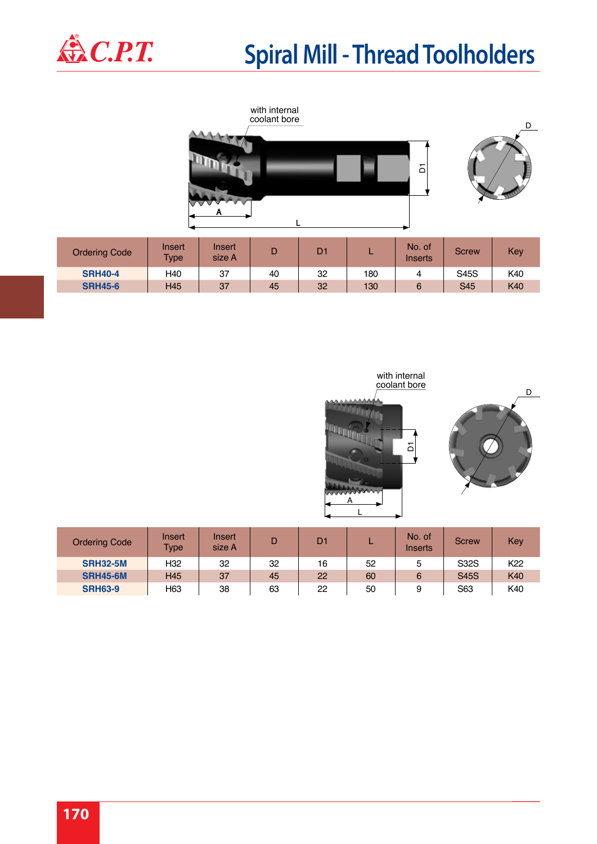

### **Spiral Mill - Thread Toolholders**





| <b>Ordering Code</b> | Insert<br><b>Type</b> | Insert<br>size A |    | D1 |    | No. of<br>Inserts | <b>Screw</b> | Key             |
|----------------------|-----------------------|------------------|----|----|----|-------------------|--------------|-----------------|
| <b>SRH32-5M</b>      | H32                   | 32               | 32 | 16 | 52 | 5                 | S32S         | K <sub>22</sub> |
| <b>SRH45-6M</b>      | H45                   | 37               | 45 | 22 | 60 | 6                 | <b>S45S</b>  | K40             |
| <b>SRH63-9</b>       | H63                   | 38               | 63 | 22 | 50 | 9                 | S63          | K40             |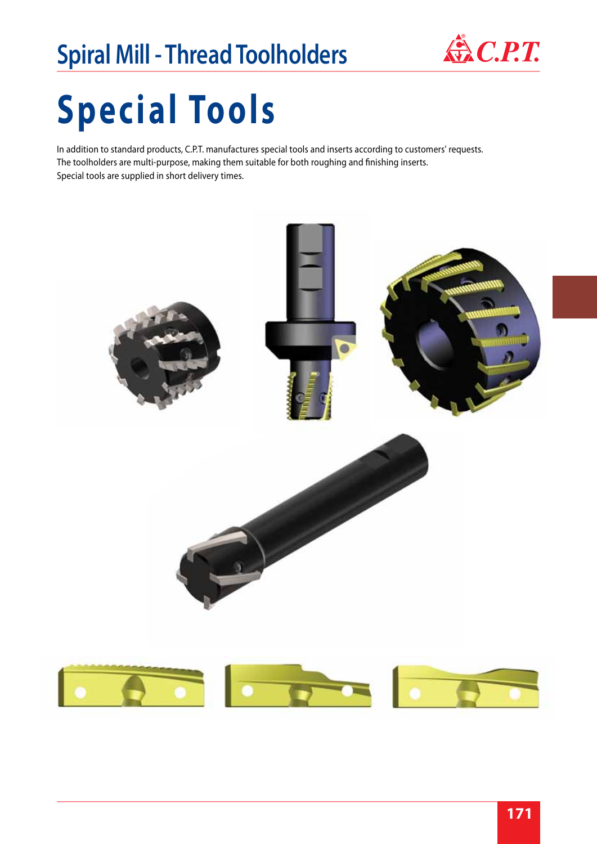# **Spiral Mill - Thread Toolholders**  $\bigoplus$  C.P.T.



# **Special Tools**

In addition to standard products, C.P.T. manufactures special tools and inserts according to customers' requests. The toolholders are multi-purpose, making them suitable for both roughing and finishing inserts. Special tools are supplied in short delivery times.